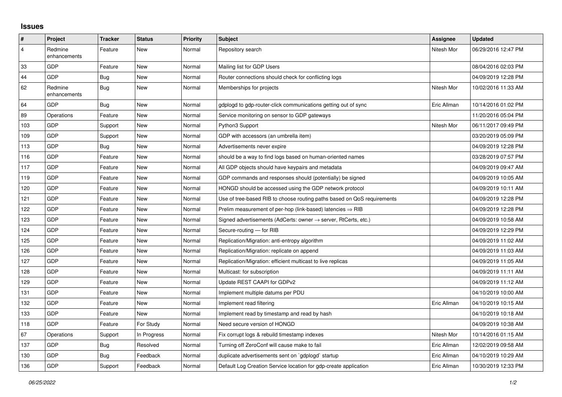## **Issues**

| $\sharp$                | <b>Project</b>          | <b>Tracker</b> | <b>Status</b> | <b>Priority</b> | <b>Subject</b>                                                             | Assignee    | <b>Updated</b>      |
|-------------------------|-------------------------|----------------|---------------|-----------------|----------------------------------------------------------------------------|-------------|---------------------|
| $\overline{\mathbf{4}}$ | Redmine<br>enhancements | Feature        | <b>New</b>    | Normal          | Repository search                                                          | Nitesh Mor  | 06/29/2016 12:47 PM |
| 33                      | <b>GDP</b>              | Feature        | <b>New</b>    | Normal          | Mailing list for GDP Users                                                 |             | 08/04/2016 02:03 PM |
| 44                      | <b>GDP</b>              | Bug            | <b>New</b>    | Normal          | Router connections should check for conflicting logs                       |             | 04/09/2019 12:28 PM |
| 62                      | Redmine<br>enhancements | <b>Bug</b>     | <b>New</b>    | Normal          | Memberships for projects                                                   | Nitesh Mor  | 10/02/2016 11:33 AM |
| 64                      | <b>GDP</b>              | Bug            | New           | Normal          | gdplogd to gdp-router-click communications getting out of sync             | Eric Allman | 10/14/2016 01:02 PM |
| 89                      | Operations              | Feature        | <b>New</b>    | Normal          | Service monitoring on sensor to GDP gateways                               |             | 11/20/2016 05:04 PM |
| 103                     | <b>GDP</b>              | Support        | <b>New</b>    | Normal          | Python3 Support                                                            | Nitesh Mor  | 06/11/2017 09:49 PM |
| 109                     | <b>GDP</b>              | Support        | <b>New</b>    | Normal          | GDP with accessors (an umbrella item)                                      |             | 03/20/2019 05:09 PM |
| 113                     | GDP                     | Bug            | <b>New</b>    | Normal          | Advertisements never expire                                                |             | 04/09/2019 12:28 PM |
| 116                     | <b>GDP</b>              | Feature        | <b>New</b>    | Normal          | should be a way to find logs based on human-oriented names                 |             | 03/28/2019 07:57 PM |
| 117                     | <b>GDP</b>              | Feature        | <b>New</b>    | Normal          | All GDP objects should have keypairs and metadata                          |             | 04/09/2019 09:47 AM |
| 119                     | GDP                     | Feature        | <b>New</b>    | Normal          | GDP commands and responses should (potentially) be signed                  |             | 04/09/2019 10:05 AM |
| 120                     | <b>GDP</b>              | Feature        | <b>New</b>    | Normal          | HONGD should be accessed using the GDP network protocol                    |             | 04/09/2019 10:11 AM |
| 121                     | <b>GDP</b>              | Feature        | <b>New</b>    | Normal          | Use of tree-based RIB to choose routing paths based on QoS requirements    |             | 04/09/2019 12:28 PM |
| 122                     | GDP                     | Feature        | <b>New</b>    | Normal          | Prelim measurement of per-hop (link-based) latencies $\Rightarrow$ RIB     |             | 04/09/2019 12:28 PM |
| 123                     | <b>GDP</b>              | Feature        | <b>New</b>    | Normal          | Signed advertisements (AdCerts: owner $\rightarrow$ server, RtCerts, etc.) |             | 04/09/2019 10:58 AM |
| 124                     | <b>GDP</b>              | Feature        | <b>New</b>    | Normal          | Secure-routing - for RIB                                                   |             | 04/09/2019 12:29 PM |
| 125                     | GDP                     | Feature        | <b>New</b>    | Normal          | Replication/Migration: anti-entropy algorithm                              |             | 04/09/2019 11:02 AM |
| 126                     | <b>GDP</b>              | Feature        | <b>New</b>    | Normal          | Replication/Migration: replicate on append                                 |             | 04/09/2019 11:03 AM |
| 127                     | <b>GDP</b>              | Feature        | <b>New</b>    | Normal          | Replication/Migration: efficient multicast to live replicas                |             | 04/09/2019 11:05 AM |
| 128                     | GDP                     | Feature        | <b>New</b>    | Normal          | Multicast: for subscription                                                |             | 04/09/2019 11:11 AM |
| 129                     | <b>GDP</b>              | Feature        | New           | Normal          | Update REST CAAPI for GDPv2                                                |             | 04/09/2019 11:12 AM |
| 131                     | GDP                     | Feature        | New           | Normal          | Implement multiple datums per PDU                                          |             | 04/10/2019 10:00 AM |
| 132                     | GDP                     | Feature        | <b>New</b>    | Normal          | Implement read filtering                                                   | Eric Allman | 04/10/2019 10:15 AM |
| 133                     | <b>GDP</b>              | Feature        | <b>New</b>    | Normal          | Implement read by timestamp and read by hash                               |             | 04/10/2019 10:18 AM |
| 118                     | <b>GDP</b>              | Feature        | For Study     | Normal          | Need secure version of HONGD                                               |             | 04/09/2019 10:38 AM |
| 67                      | Operations              | Support        | In Progress   | Normal          | Fix corrupt logs & rebuild timestamp indexes                               | Nitesh Mor  | 10/14/2016 01:15 AM |
| 137                     | <b>GDP</b>              | <b>Bug</b>     | Resolved      | Normal          | Turning off ZeroConf will cause make to fail                               | Eric Allman | 12/02/2019 09:58 AM |
| 130                     | GDP                     | Bug            | Feedback      | Normal          | duplicate advertisements sent on `gdplogd` startup                         | Eric Allman | 04/10/2019 10:29 AM |
| 136                     | GDP                     | Support        | Feedback      | Normal          | Default Log Creation Service location for gdp-create application           | Eric Allman | 10/30/2019 12:33 PM |